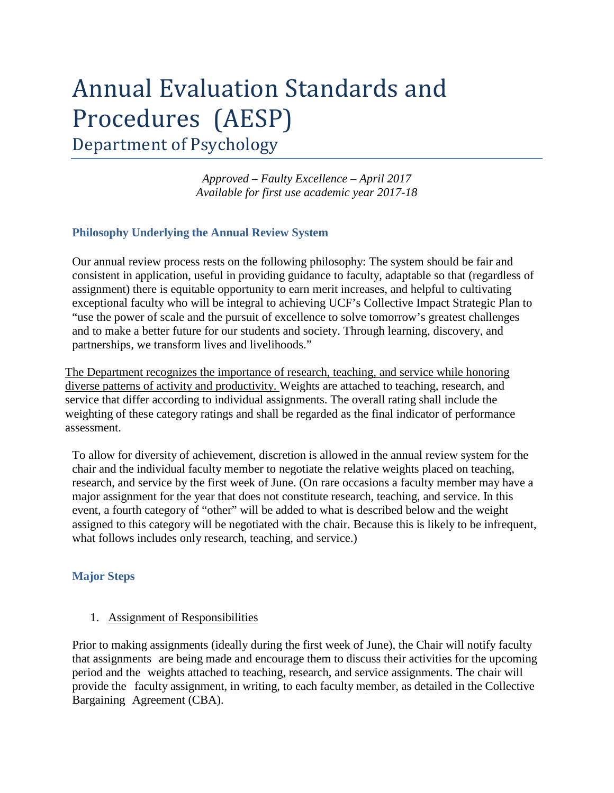# Annual Evaluation Standards and Procedures (AESP) Department of Psychology

*Approved – Faulty Excellence – April 2017 Available for first use academic year 2017-18*

### **Philosophy Underlying the Annual Review System**

Our annual review process rests on the following philosophy: The system should be fair and consistent in application, useful in providing guidance to faculty, adaptable so that (regardless of assignment) there is equitable opportunity to earn merit increases, and helpful to cultivating exceptional faculty who will be integral to achieving UCF's Collective Impact Strategic Plan to "use the power of scale and the pursuit of excellence to solve tomorrow's greatest challenges and to make a better future for our students and society. Through learning, discovery, and partnerships, we transform lives and livelihoods."

The Department recognizes the importance of research, teaching, and service while honoring diverse patterns of activity and productivity. Weights are attached to teaching, research, and service that differ according to individual assignments. The overall rating shall include the weighting of these category ratings and shall be regarded as the final indicator of performance assessment.

To allow for diversity of achievement, discretion is allowed in the annual review system for the chair and the individual faculty member to negotiate the relative weights placed on teaching, research, and service by the first week of June. (On rare occasions a faculty member may have a major assignment for the year that does not constitute research, teaching, and service. In this event, a fourth category of "other" will be added to what is described below and the weight assigned to this category will be negotiated with the chair. Because this is likely to be infrequent, what follows includes only research, teaching, and service.)

#### **Major Steps**

#### 1. Assignment of Responsibilities

Prior to making assignments (ideally during the first week of June), the Chair will notify faculty that assignments are being made and encourage them to discuss their activities for the upcoming period and the weights attached to teaching, research, and service assignments. The chair will provide the faculty assignment, in writing, to each faculty member, as detailed in the Collective Bargaining Agreement (CBA).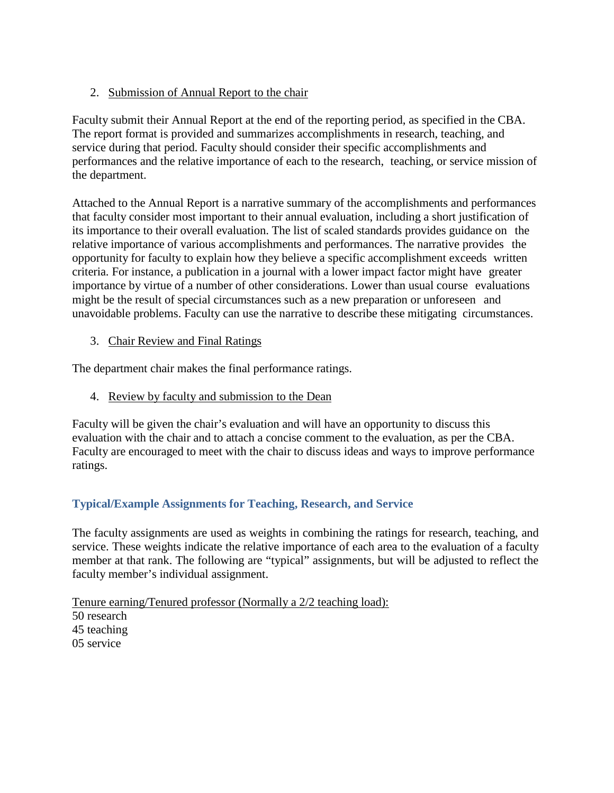2. Submission of Annual Report to the chair

Faculty submit their Annual Report at the end of the reporting period, as specified in the CBA. The report format is provided and summarizes accomplishments in research, teaching, and service during that period. Faculty should consider their specific accomplishments and performances and the relative importance of each to the research, teaching, or service mission of the department.

Attached to the Annual Report is a narrative summary of the accomplishments and performances that faculty consider most important to their annual evaluation, including a short justification of its importance to their overall evaluation. The list of scaled standards provides guidance on the relative importance of various accomplishments and performances. The narrative provides the opportunity for faculty to explain how they believe a specific accomplishment exceeds written criteria. For instance, a publication in a journal with a lower impact factor might have greater importance by virtue of a number of other considerations. Lower than usual course evaluations might be the result of special circumstances such as a new preparation or unforeseen and unavoidable problems. Faculty can use the narrative to describe these mitigating circumstances.

3. Chair Review and Final Ratings

The department chair makes the final performance ratings.

4. Review by faculty and submission to the Dean

Faculty will be given the chair's evaluation and will have an opportunity to discuss this evaluation with the chair and to attach a concise comment to the evaluation, as per the CBA. Faculty are encouraged to meet with the chair to discuss ideas and ways to improve performance ratings.

# **Typical/Example Assignments for Teaching, Research, and Service**

The faculty assignments are used as weights in combining the ratings for research, teaching, and service. These weights indicate the relative importance of each area to the evaluation of a faculty member at that rank. The following are "typical" assignments, but will be adjusted to reflect the faculty member's individual assignment.

Tenure earning/Tenured professor (Normally a 2/2 teaching load): 50 research 45 teaching 05 service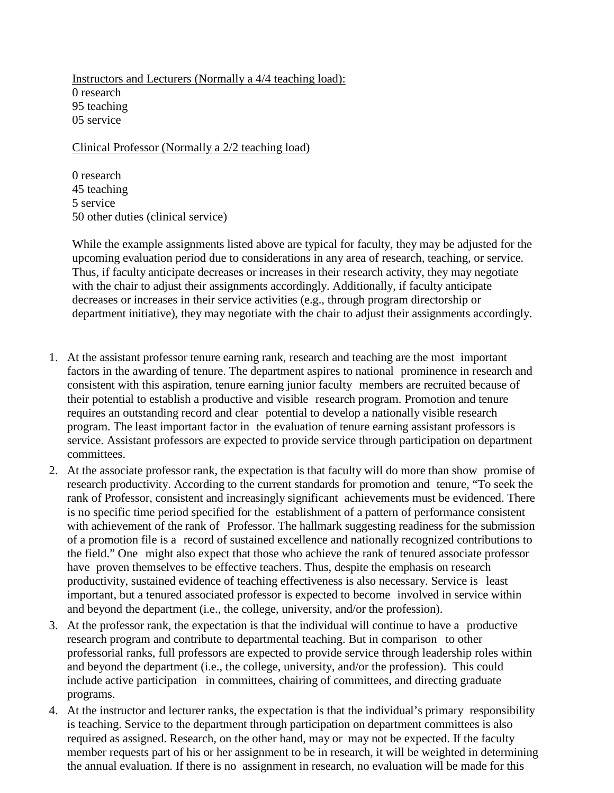Instructors and Lecturers (Normally a 4/4 teaching load): 0 research 95 teaching 05 service

Clinical Professor (Normally a 2/2 teaching load)

0 research 45 teaching 5 service 50 other duties (clinical service)

While the example assignments listed above are typical for faculty, they may be adjusted for the upcoming evaluation period due to considerations in any area of research, teaching, or service. Thus, if faculty anticipate decreases or increases in their research activity, they may negotiate with the chair to adjust their assignments accordingly. Additionally, if faculty anticipate decreases or increases in their service activities (e.g., through program directorship or department initiative), they may negotiate with the chair to adjust their assignments accordingly.

- 1. At the assistant professor tenure earning rank, research and teaching are the most important factors in the awarding of tenure. The department aspires to national prominence in research and consistent with this aspiration, tenure earning junior faculty members are recruited because of their potential to establish a productive and visible research program. Promotion and tenure requires an outstanding record and clear potential to develop a nationally visible research program. The least important factor in the evaluation of tenure earning assistant professors is service. Assistant professors are expected to provide service through participation on department committees.
- 2. At the associate professor rank, the expectation is that faculty will do more than show promise of research productivity. According to the current standards for promotion and tenure, "To seek the rank of Professor, consistent and increasingly significant achievements must be evidenced. There is no specific time period specified for the establishment of a pattern of performance consistent with achievement of the rank of Professor. The hallmark suggesting readiness for the submission of a promotion file is a record of sustained excellence and nationally recognized contributions to the field." One might also expect that those who achieve the rank of tenured associate professor have proven themselves to be effective teachers. Thus, despite the emphasis on research productivity, sustained evidence of teaching effectiveness is also necessary. Service is least important, but a tenured associated professor is expected to become involved in service within and beyond the department (i.e., the college, university, and/or the profession).
- 3. At the professor rank, the expectation is that the individual will continue to have a productive research program and contribute to departmental teaching. But in comparison to other professorial ranks, full professors are expected to provide service through leadership roles within and beyond the department (i.e., the college, university, and/or the profession). This could include active participation in committees, chairing of committees, and directing graduate programs.
- 4. At the instructor and lecturer ranks, the expectation is that the individual's primary responsibility is teaching. Service to the department through participation on department committees is also required as assigned. Research, on the other hand, may or may not be expected. If the faculty member requests part of his or her assignment to be in research, it will be weighted in determining the annual evaluation. If there is no assignment in research, no evaluation will be made for this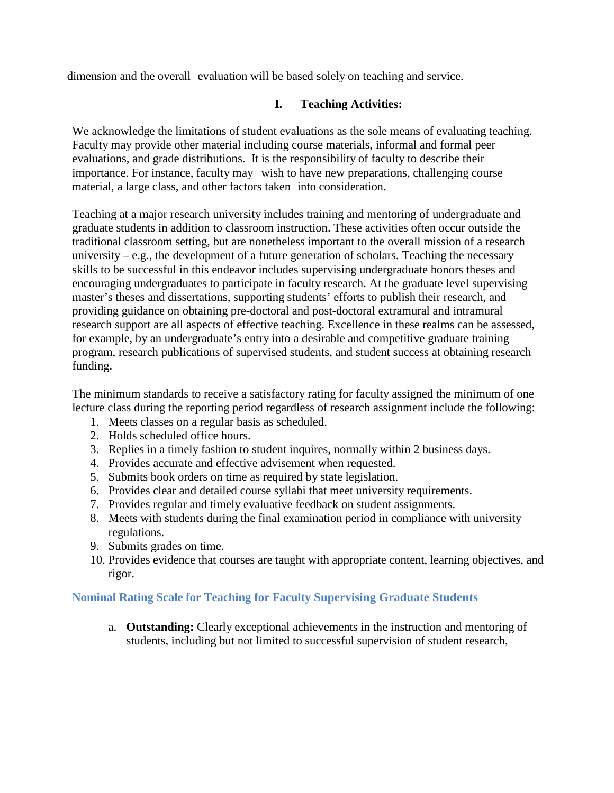dimension and the overall evaluation will be based solely on teaching and service.

## **I. Teaching Activities:**

We acknowledge the limitations of student evaluations as the sole means of evaluating teaching. Faculty may provide other material including course materials, informal and formal peer evaluations, and grade distributions. It is the responsibility of faculty to describe their importance. For instance, faculty may wish to have new preparations, challenging course material, a large class, and other factors taken into consideration.

Teaching at a major research university includes training and mentoring of undergraduate and graduate students in addition to classroom instruction. These activities often occur outside the traditional classroom setting, but are nonetheless important to the overall mission of a research university – e.g., the development of a future generation of scholars. Teaching the necessary skills to be successful in this endeavor includes supervising undergraduate honors theses and encouraging undergraduates to participate in faculty research. At the graduate level supervising master's theses and dissertations, supporting students' efforts to publish their research, and providing guidance on obtaining pre-doctoral and post-doctoral extramural and intramural research support are all aspects of effective teaching. Excellence in these realms can be assessed, for example, by an undergraduate's entry into a desirable and competitive graduate training program, research publications of supervised students, and student success at obtaining research funding.

The minimum standards to receive a satisfactory rating for faculty assigned the minimum of one lecture class during the reporting period regardless of research assignment include the following:

- 1. Meets classes on a regular basis as scheduled.
- 2. Holds scheduled office hours.
- 3. Replies in a timely fashion to student inquires, normally within 2 business days.
- 4. Provides accurate and effective advisement when requested.
- 5. Submits book orders on time as required by state legislation.
- 6. Provides clear and detailed course syllabi that meet university requirements.
- 7. Provides regular and timely evaluative feedback on student assignments.
- 8. Meets with students during the final examination period in compliance with university regulations.
- 9. Submits grades on time.
- 10. Provides evidence that courses are taught with appropriate content, learning objectives, and rigor.

## **Nominal Rating Scale for Teaching for Faculty Supervising Graduate Students**

a. **Outstanding:** Clearly exceptional achievements in the instruction and mentoring of students, including but not limited to successful supervision of student research,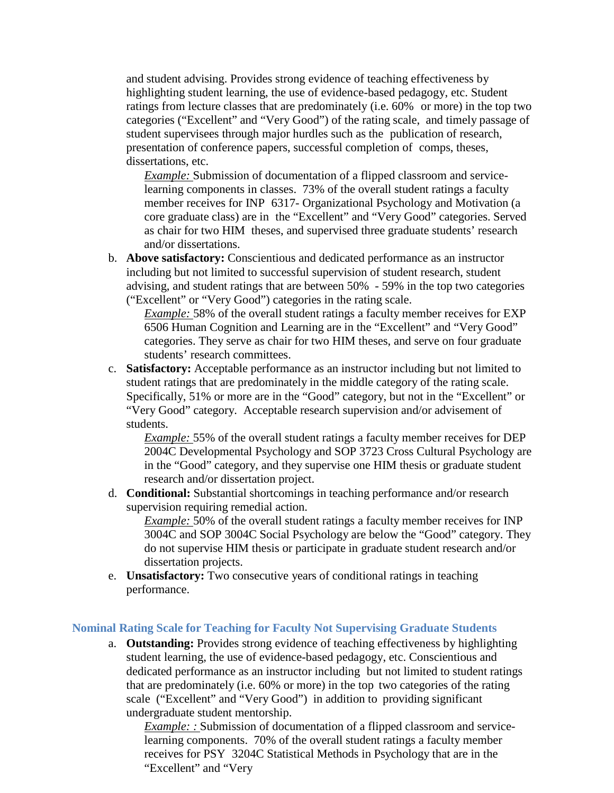and student advising. Provides strong evidence of teaching effectiveness by highlighting student learning, the use of evidence-based pedagogy, etc. Student ratings from lecture classes that are predominately (i.e. 60% or more) in the top two categories ("Excellent" and "Very Good") of the rating scale, and timely passage of student supervisees through major hurdles such as the publication of research, presentation of conference papers, successful completion of comps, theses, dissertations, etc.

*Example:* Submission of documentation of a flipped classroom and servicelearning components in classes. 73% of the overall student ratings a faculty member receives for INP 6317- Organizational Psychology and Motivation (a core graduate class) are in the "Excellent" and "Very Good" categories. Served as chair for two HIM theses, and supervised three graduate students' research and/or dissertations.

b. **Above satisfactory:** Conscientious and dedicated performance as an instructor including but not limited to successful supervision of student research, student advising, and student ratings that are between 50% - 59% in the top two categories ("Excellent" or "Very Good") categories in the rating scale.

*Example:* 58% of the overall student ratings a faculty member receives for EXP 6506 Human Cognition and Learning are in the "Excellent" and "Very Good" categories. They serve as chair for two HIM theses, and serve on four graduate students' research committees.

c. **Satisfactory:** Acceptable performance as an instructor including but not limited to student ratings that are predominately in the middle category of the rating scale. Specifically, 51% or more are in the "Good" category, but not in the "Excellent" or "Very Good" category. Acceptable research supervision and/or advisement of students.

*Example:* 55% of the overall student ratings a faculty member receives for DEP 2004C Developmental Psychology and SOP 3723 Cross Cultural Psychology are in the "Good" category, and they supervise one HIM thesis or graduate student research and/or dissertation project.

d. **Conditional:** Substantial shortcomings in teaching performance and/or research supervision requiring remedial action.

*Example:* 50% of the overall student ratings a faculty member receives for INP 3004C and SOP 3004C Social Psychology are below the "Good" category. They do not supervise HIM thesis or participate in graduate student research and/or dissertation projects.

e. **Unsatisfactory:** Two consecutive years of conditional ratings in teaching performance.

#### **Nominal Rating Scale for Teaching for Faculty Not Supervising Graduate Students**

a. **Outstanding:** Provides strong evidence of teaching effectiveness by highlighting student learning, the use of evidence-based pedagogy, etc. Conscientious and dedicated performance as an instructor including but not limited to student ratings that are predominately (i.e. 60% or more) in the top two categories of the rating scale ("Excellent" and "Very Good") in addition to providing significant undergraduate student mentorship.

*Example: :* Submission of documentation of a flipped classroom and servicelearning components. 70% of the overall student ratings a faculty member receives for PSY 3204C Statistical Methods in Psychology that are in the "Excellent" and "Very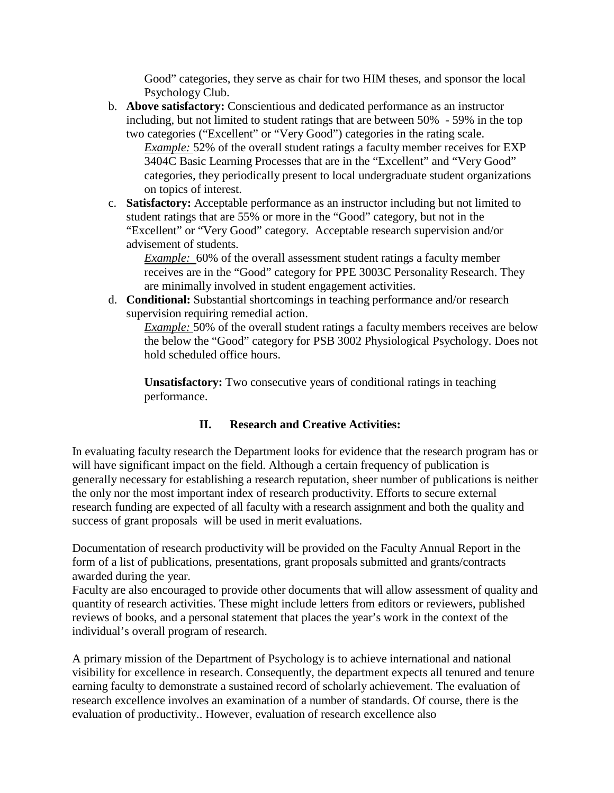Good" categories, they serve as chair for two HIM theses, and sponsor the local Psychology Club.

b. **Above satisfactory:** Conscientious and dedicated performance as an instructor including, but not limited to student ratings that are between 50% - 59% in the top two categories ("Excellent" or "Very Good") categories in the rating scale. *Example:* 52% of the overall student ratings a faculty member receives for EXP 3404C Basic Learning Processes that are in the "Excellent" and "Very Good"

categories, they periodically present to local undergraduate student organizations on topics of interest.

c. **Satisfactory:** Acceptable performance as an instructor including but not limited to student ratings that are 55% or more in the "Good" category, but not in the "Excellent" or "Very Good" category. Acceptable research supervision and/or advisement of students.

*Example:* 60% of the overall assessment student ratings a faculty member receives are in the "Good" category for PPE 3003C Personality Research. They are minimally involved in student engagement activities.

d. **Conditional:** Substantial shortcomings in teaching performance and/or research supervision requiring remedial action.

*Example:* 50% of the overall student ratings a faculty members receives are below the below the "Good" category for PSB 3002 Physiological Psychology. Does not hold scheduled office hours.

**Unsatisfactory:** Two consecutive years of conditional ratings in teaching performance.

# **II. Research and Creative Activities:**

In evaluating faculty research the Department looks for evidence that the research program has or will have significant impact on the field. Although a certain frequency of publication is generally necessary for establishing a research reputation, sheer number of publications is neither the only nor the most important index of research productivity. Efforts to secure external research funding are expected of all faculty with a research assignment and both the quality and success of grant proposals will be used in merit evaluations.

Documentation of research productivity will be provided on the Faculty Annual Report in the form of a list of publications, presentations, grant proposals submitted and grants/contracts awarded during the year.

Faculty are also encouraged to provide other documents that will allow assessment of quality and quantity of research activities. These might include letters from editors or reviewers, published reviews of books, and a personal statement that places the year's work in the context of the individual's overall program of research.

A primary mission of the Department of Psychology is to achieve international and national visibility for excellence in research. Consequently, the department expects all tenured and tenure earning faculty to demonstrate a sustained record of scholarly achievement. The evaluation of research excellence involves an examination of a number of standards. Of course, there is the evaluation of productivity.. However, evaluation of research excellence also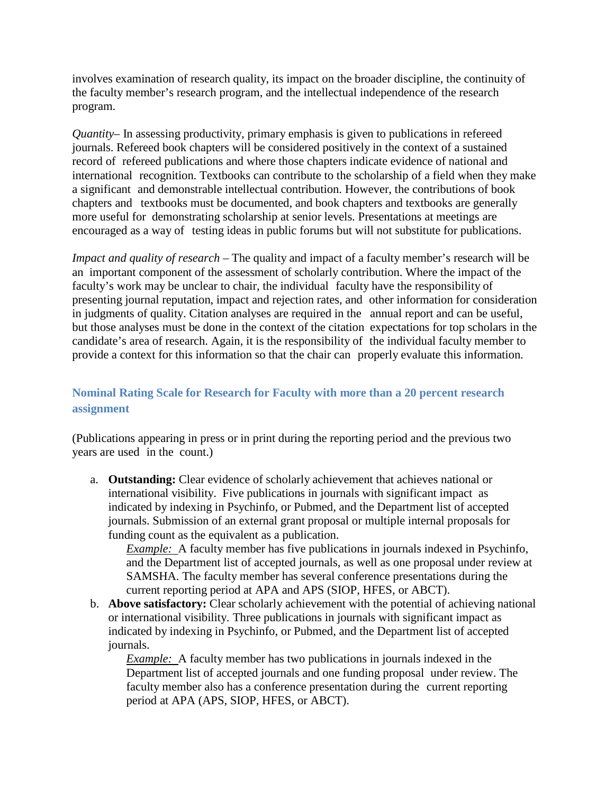involves examination of research quality, its impact on the broader discipline, the continuity of the faculty member's research program, and the intellectual independence of the research program.

*Quantity*– In assessing productivity, primary emphasis is given to publications in refereed journals. Refereed book chapters will be considered positively in the context of a sustained record of refereed publications and where those chapters indicate evidence of national and international recognition. Textbooks can contribute to the scholarship of a field when they make a significant and demonstrable intellectual contribution. However, the contributions of book chapters and textbooks must be documented, and book chapters and textbooks are generally more useful for demonstrating scholarship at senior levels. Presentations at meetings are encouraged as a way of testing ideas in public forums but will not substitute for publications.

*Impact and quality of research* – The quality and impact of a faculty member's research will be an important component of the assessment of scholarly contribution. Where the impact of the faculty's work may be unclear to chair, the individual faculty have the responsibility of presenting journal reputation, impact and rejection rates, and other information for consideration in judgments of quality. Citation analyses are required in the annual report and can be useful, but those analyses must be done in the context of the citation expectations for top scholars in the candidate's area of research. Again, it is the responsibility of the individual faculty member to provide a context for this information so that the chair can properly evaluate this information.

# **Nominal Rating Scale for Research for Faculty with more than a 20 percent research assignment**

(Publications appearing in press or in print during the reporting period and the previous two years are used in the count.)

a. **Outstanding:** Clear evidence of scholarly achievement that achieves national or international visibility. Five publications in journals with significant impact as indicated by indexing in Psychinfo, or Pubmed, and the Department list of accepted journals. Submission of an external grant proposal or multiple internal proposals for funding count as the equivalent as a publication.

*Example:* A faculty member has five publications in journals indexed in Psychinfo, and the Department list of accepted journals, as well as one proposal under review at SAMSHA. The faculty member has several conference presentations during the current reporting period at APA and APS (SIOP, HFES, or ABCT).

b. **Above satisfactory:** Clear scholarly achievement with the potential of achieving national or international visibility. Three publications in journals with significant impact as indicated by indexing in Psychinfo, or Pubmed, and the Department list of accepted journals.

*Example:* A faculty member has two publications in journals indexed in the Department list of accepted journals and one funding proposal under review. The faculty member also has a conference presentation during the current reporting period at APA (APS, SIOP, HFES, or ABCT).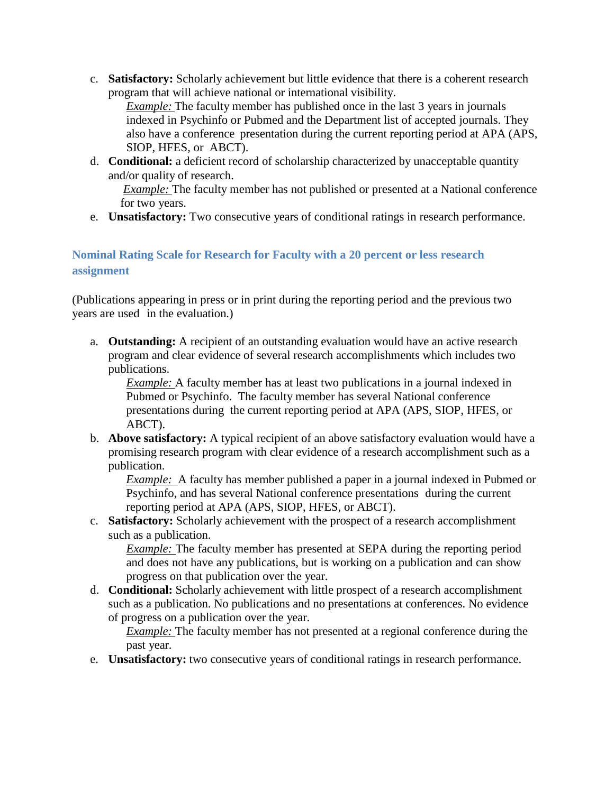c. **Satisfactory:** Scholarly achievement but little evidence that there is a coherent research program that will achieve national or international visibility.

*Example:* The faculty member has published once in the last 3 years in journals indexed in Psychinfo or Pubmed and the Department list of accepted journals. They also have a conference presentation during the current reporting period at APA (APS, SIOP, HFES, or ABCT).

d. **Conditional:** a deficient record of scholarship characterized by unacceptable quantity and/or quality of research.

*Example:* The faculty member has not published or presented at a National conference for two years.

e. **Unsatisfactory:** Two consecutive years of conditional ratings in research performance.

# **Nominal Rating Scale for Research for Faculty with a 20 percent or less research assignment**

(Publications appearing in press or in print during the reporting period and the previous two years are used in the evaluation.)

a. **Outstanding:** A recipient of an outstanding evaluation would have an active research program and clear evidence of several research accomplishments which includes two publications.

*Example:* A faculty member has at least two publications in a journal indexed in Pubmed or Psychinfo. The faculty member has several National conference presentations during the current reporting period at APA (APS, SIOP, HFES, or ABCT).

b. **Above satisfactory:** A typical recipient of an above satisfactory evaluation would have a promising research program with clear evidence of a research accomplishment such as a publication.

*Example:* A faculty has member published a paper in a journal indexed in Pubmed or Psychinfo, and has several National conference presentations during the current reporting period at APA (APS, SIOP, HFES, or ABCT).

c. **Satisfactory:** Scholarly achievement with the prospect of a research accomplishment such as a publication.

*Example:* The faculty member has presented at SEPA during the reporting period and does not have any publications, but is working on a publication and can show progress on that publication over the year.

d. **Conditional:** Scholarly achievement with little prospect of a research accomplishment such as a publication. No publications and no presentations at conferences. No evidence of progress on a publication over the year.

*Example:* The faculty member has not presented at a regional conference during the past year.

e. **Unsatisfactory:** two consecutive years of conditional ratings in research performance.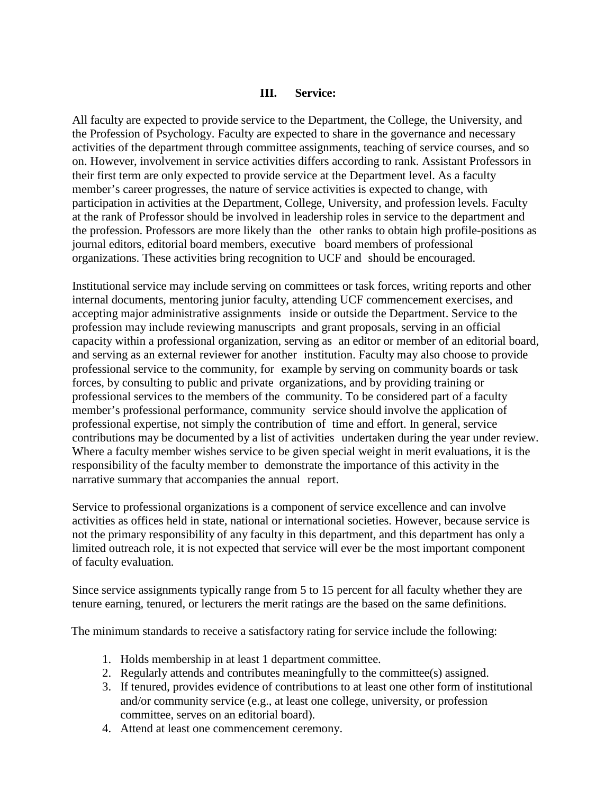### **III. Service:**

All faculty are expected to provide service to the Department, the College, the University, and the Profession of Psychology. Faculty are expected to share in the governance and necessary activities of the department through committee assignments, teaching of service courses, and so on. However, involvement in service activities differs according to rank. Assistant Professors in their first term are only expected to provide service at the Department level. As a faculty member's career progresses, the nature of service activities is expected to change, with participation in activities at the Department, College, University, and profession levels. Faculty at the rank of Professor should be involved in leadership roles in service to the department and the profession. Professors are more likely than the other ranks to obtain high profile-positions as journal editors, editorial board members, executive board members of professional organizations. These activities bring recognition to UCF and should be encouraged.

Institutional service may include serving on committees or task forces, writing reports and other internal documents, mentoring junior faculty, attending UCF commencement exercises, and accepting major administrative assignments inside or outside the Department. Service to the profession may include reviewing manuscripts and grant proposals, serving in an official capacity within a professional organization, serving as an editor or member of an editorial board, and serving as an external reviewer for another institution. Faculty may also choose to provide professional service to the community, for example by serving on community boards or task forces, by consulting to public and private organizations, and by providing training or professional services to the members of the community. To be considered part of a faculty member's professional performance, community service should involve the application of professional expertise, not simply the contribution of time and effort. In general, service contributions may be documented by a list of activities undertaken during the year under review. Where a faculty member wishes service to be given special weight in merit evaluations, it is the responsibility of the faculty member to demonstrate the importance of this activity in the narrative summary that accompanies the annual report.

Service to professional organizations is a component of service excellence and can involve activities as offices held in state, national or international societies. However, because service is not the primary responsibility of any faculty in this department, and this department has only a limited outreach role, it is not expected that service will ever be the most important component of faculty evaluation.

Since service assignments typically range from 5 to 15 percent for all faculty whether they are tenure earning, tenured, or lecturers the merit ratings are the based on the same definitions.

The minimum standards to receive a satisfactory rating for service include the following:

- 1. Holds membership in at least 1 department committee.
- 2. Regularly attends and contributes meaningfully to the committee(s) assigned.
- 3. If tenured, provides evidence of contributions to at least one other form of institutional and/or community service (e.g., at least one college, university, or profession committee, serves on an editorial board).
- 4. Attend at least one commencement ceremony.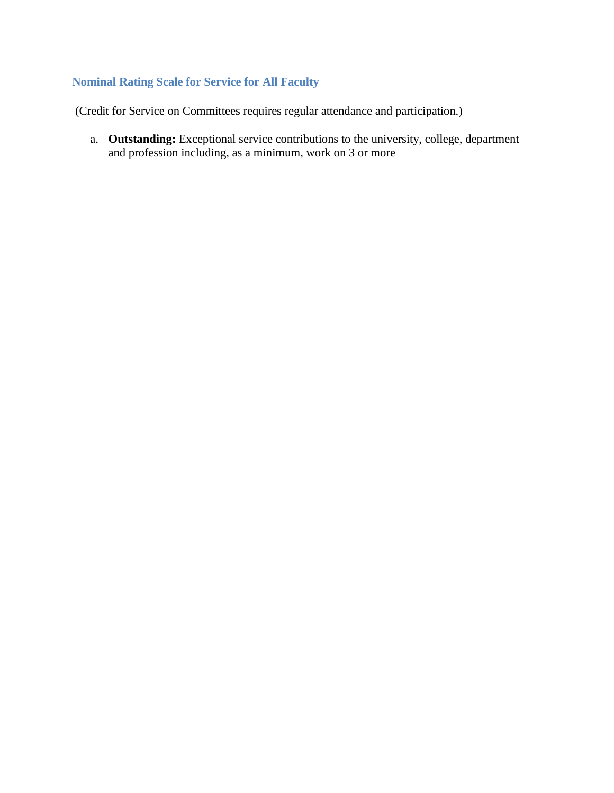## **Nominal Rating Scale for Service for All Faculty**

(Credit for Service on Committees requires regular attendance and participation.)

a. **Outstanding:** Exceptional service contributions to the university, college, department and profession including, as a minimum, work on 3 or more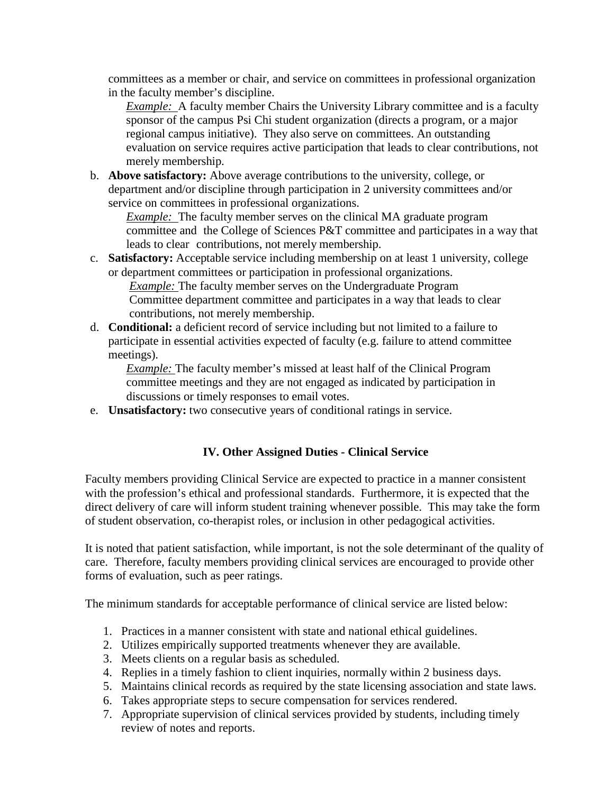committees as a member or chair, and service on committees in professional organization in the faculty member's discipline.

*Example:* A faculty member Chairs the University Library committee and is a faculty sponsor of the campus Psi Chi student organization (directs a program, or a major regional campus initiative). They also serve on committees. An outstanding evaluation on service requires active participation that leads to clear contributions, not merely membership.

b. **Above satisfactory:** Above average contributions to the university, college, or department and/or discipline through participation in 2 university committees and/or service on committees in professional organizations.

*Example:* The faculty member serves on the clinical MA graduate program committee and the College of Sciences P&T committee and participates in a way that leads to clear contributions, not merely membership.

c. **Satisfactory:** Acceptable service including membership on at least 1 university, college or department committees or participation in professional organizations.

*Example:* The faculty member serves on the Undergraduate Program Committee department committee and participates in a way that leads to clear contributions, not merely membership.

d. **Conditional:** a deficient record of service including but not limited to a failure to participate in essential activities expected of faculty (e.g. failure to attend committee meetings).

*Example:* The faculty member's missed at least half of the Clinical Program committee meetings and they are not engaged as indicated by participation in discussions or timely responses to email votes.

e. **Unsatisfactory:** two consecutive years of conditional ratings in service.

# **IV. Other Assigned Duties - Clinical Service**

Faculty members providing Clinical Service are expected to practice in a manner consistent with the profession's ethical and professional standards. Furthermore, it is expected that the direct delivery of care will inform student training whenever possible. This may take the form of student observation, co-therapist roles, or inclusion in other pedagogical activities.

It is noted that patient satisfaction, while important, is not the sole determinant of the quality of care. Therefore, faculty members providing clinical services are encouraged to provide other forms of evaluation, such as peer ratings.

The minimum standards for acceptable performance of clinical service are listed below:

- 1. Practices in a manner consistent with state and national ethical guidelines.
- 2. Utilizes empirically supported treatments whenever they are available.
- 3. Meets clients on a regular basis as scheduled.
- 4. Replies in a timely fashion to client inquiries, normally within 2 business days.
- 5. Maintains clinical records as required by the state licensing association and state laws.
- 6. Takes appropriate steps to secure compensation for services rendered.
- 7. Appropriate supervision of clinical services provided by students, including timely review of notes and reports.